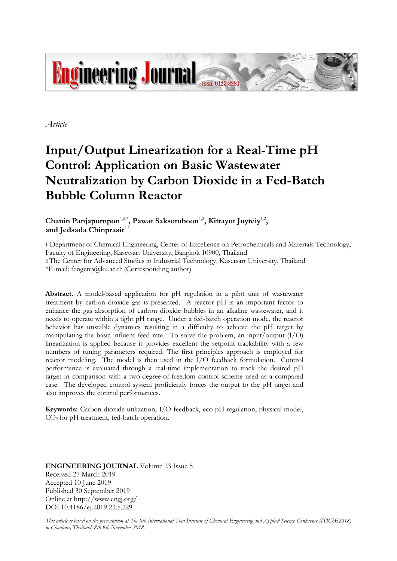

*Article*

# **Input/Output Linearization for a Real-Time pH Control: Application on Basic Wastewater Neutralization by Carbon Dioxide in a Fed-Batch Bubble Column Reactor**

Chanin Panjapornpon<sup>1,2,\*</sup>, Pawat Saksomboon<sup>1,2</sup>, Kittayot Juyteiy<sup>1,2</sup>, and Jedsada Chinprasit<sup>1,2</sup>

1 Department of Chemical Engineering, Center of Excellence on Petrochemicals and Materials Technology, Faculty of Engineering, Kasetsart University, Bangkok 10900, Thailand

2 The Center for Advanced Studies in Industrial Technology, Kasetsart University, Thailand  $*E$ -mail: fengcnp@ku.ac.th (Corresponding author)

**Abstract.** A model-based application for pH regulation in a pilot unit of wastewater treatment by carbon dioxide gas is presented. A reactor pH is an important factor to enhance the gas absorption of carbon dioxide bubbles in an alkaline wastewater, and it needs to operate within a tight pH range. Under a fed-batch operation mode, the reactor behavior has unstable dynamics resulting in a difficulty to achieve the pH target by manipulating the basic influent feed rate. To solve the problem, an input/output  $(I/O)$ linearization is applied because it provides excellent the setpoint trackability with a few numbers of tuning parameters required. The first principles approach is employed for reactor modeling. The model is then used in the I/O feedback formulation. Control performance is evaluated through a real-time implementation to track the desired pH target in comparison with a two-degree-of-freedom control scheme used as a compared case. The developed control system proficiently forces the output to the pH target and also improves the control performances.

**Keywords:** Carbon dioxide utilization, I/O feedback, eco pH regulation, physical model, CO2 for pH treatment, fed-batch operation.

**ENGINEERING JOURNAL** Volume 23 Issue 5 Received 27 March 2019 Accepted 10 June 2019 Published 30 September 2019 Online at http://www.engj.org/ DOI:10.4186/ej.2019.23.5.229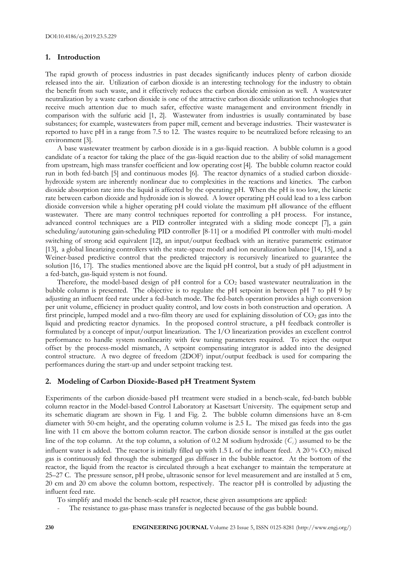## **1. Introduction**

The rapid growth of process industries in past decades significantly induces plenty of carbon dioxide released into the air. Utilization of carbon dioxide is an interesting technology for the industry to obtain the benefit from such waste, and it effectively reduces the carbon dioxide emission as well. A wastewater neutralization by a waste carbon dioxide is one of the attractive carbon dioxide utilization technologies that receive much attention due to much safer, effective waste management and environment friendly in comparison with the sulfuric acid [1, 2]. Wastewater from industries is usually contaminated by base substances; for example, wastewaters from paper mill, cement and beverage industries. Their wastewater is reported to have pH in a range from 7.5 to 12. The wastes require to be neutralized before releasing to an environment [3].

A base wastewater treatment by carbon dioxide is in a gas-liquid reaction. A bubble column is a good candidate of a reactor for taking the place of the gas-liquid reaction due to the ability of solid management from upstream, high mass transfer coefficient and low operating cost [4]. The bubble column reactor could run in both fed-batch [5] and continuous modes [6]. The reactor dynamics of a studied carbon dioxidehydroxide system are inherently nonlinear due to complexities in the reactions and kinetics. The carbon dioxide absorption rate into the liquid is affected by the operating pH. When the pH is too low, the kinetic rate between carbon dioxide and hydroxide ion is slowed. A lower operating pH could lead to a less carbon dioxide conversion while a higher operating pH could violate the maximum pH allowance of the effluent wastewater. There are many control techniques reported for controlling a pH process. For instance, advanced control techniques are a PID controller integrated with a sliding mode concept [7], a gain scheduling/autotuning gain-scheduling PID controller [8-11] or a modified PI controller with multi-model switching of strong acid equivalent [12], an input/output feedback with an iterative parametric estimator [13], a global linearizing controllers with the state-space model and ion neuralization balance [14, 15], and a Weiner-based predictive control that the predicted trajectory is recursively linearized to guarantee the solution [16, 17]. The studies mentioned above are the liquid pH control, but a study of pH adjustment in a fed-batch, gas-liquid system is not found.

Therefore, the model-based design of  $pH$  control for a  $CO<sub>2</sub>$  based wastewater neutralization in the bubble column is presented. The objective is to regulate the pH setpoint in between pH 7 to pH 9 by adjusting an influent feed rate under a fed-batch mode. The fed-batch operation provides a high conversion per unit volume, efficiency in product quality control, and low costs in both construction and operation. A first principle, lumped model and a two-film theory are used for explaining dissolution of  $CO<sub>2</sub>$  gas into the liquid and predicting reactor dynamics. In the proposed control structure, a pH feedback controller is formulated by a concept of input/output linearization. The I/O linearization provides an excellent control performance to handle system nonlinearity with few tuning parameters required. To reject the output offset by the process-model mismatch, A setpoint compensating integrator is added into the designed control structure. A two degree of freedom (2DOF) input/output feedback is used for comparing the performances during the start-up and under setpoint tracking test.

#### **2. Modeling of Carbon Dioxide-Based pH Treatment System**

Experiments of the carbon dioxide-based pH treatment were studied in a bench-scale, fed-batch bubble column reactor in the Model-based Control Laboratory at Kasetsart University. The equipment setup and its schematic diagram are shown in Fig. 1 and Fig. 2. The bubble column dimensions have an 8-cm diameter with 50-cm height, and the operating column volume is 2.5 L. The mixed gas feeds into the gas line with 11 cm above the bottom column reactor. The carbon dioxide sensor is installed at the gas outlet line of the top column. At the top column, a solution of 0.2 M sodium hydroxide  $(C_i)$  assumed to be the influent water is added. The reactor is initially filled up with 1.5 L of the influent feed. A 20 %  $CO<sub>2</sub>$  mixed gas is continuously fed through the submerged gas diffuser in the bubble reactor. At the bottom of the reactor, the liquid from the reactor is circulated through a heat exchanger to maintain the temperature at 25–27 C. The pressure sensor, pH probe, ultrasonic sensor for level measurement and are installed at 5 cm, 20 cm and 20 cm above the column bottom, respectively. The reactor pH is controlled by adjusting the influent feed rate.

To simplify and model the bench-scale pH reactor, these given assumptions are applied:

The resistance to gas-phase mass transfer is neglected because of the gas bubble bound.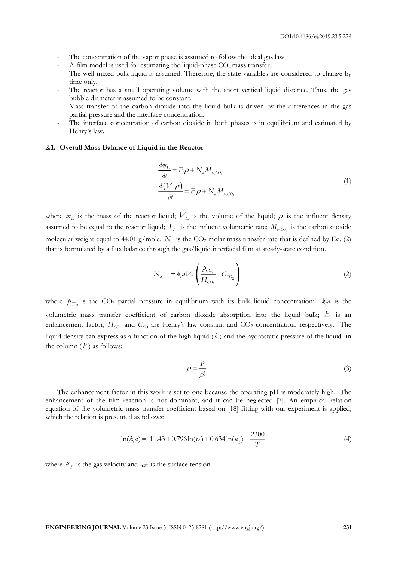- The concentration of the vapor phase is assumed to follow the ideal gas law.
- A film model is used for estimating the liquid-phase  $CO<sub>2</sub>$  mass transfer.
- The well-mixed bulk liquid is assumed. Therefore, the state variables are considered to change by time only.
- The reactor has a small operating volume with the short vertical liquid distance. Thus, the gas bubble diameter is assumed to be constant.
- Mass transfer of the carbon dioxide into the liquid bulk is driven by the differences in the gas partial pressure and the interface concentration.
- The interface concentration of carbon dioxide in both phases is in equilibrium and estimated by Henry's law.

#### **2.1. Overall Mass Balance of Liquid in the Reactor**

$$
\frac{dm_{\rm L}}{dt} = F_i \rho + N_a M_{w,CO_2}
$$
\n
$$
\frac{d(V_{\rm L}\rho)}{dt} = F_i \rho + N_a M_{w,CO_2}
$$
\n(1)

where  $m<sub>L</sub>$  is the mass of the reactor liquid;  $V<sub>L</sub>$  is the volume of the liquid;  $\rho$  is the influent density assumed to be equal to the reactor liquid;  $F_i$  is the influent volumetric rate;  $M_{w,CO_2}$  is the carbon dioxide molecular weight equal to 44.01 g/mole.  $N_a$  is the  $CO_2$  molar mass transfer rate that is defined by Eq. (2) that is formulated by a flux balance through the gas/liquid interfacial film at steady-state condition.

$$
N_a = k_a V_L \left( \frac{p_{CO_2}}{H_{CO_2}} - C_{CO_2} \right)
$$
 (2)

where  $p_{CO_2}$  is the CO<sub>2</sub> partial pressure in equilibrium with its bulk liquid concentration;  $k_i a$  is the volumetric mass transfer coefficient of carbon dioxide absorption into the liquid bulk;  $E$  is an enhancement factor;  $H_{CO_2}$  and  $C_{CO_2}$  are Henry's law constant and  $CO_2$  concentration, respectively. The liquid density can express as a function of the high liquid  $(b)$  and the hydrostatic pressure of the liquid in the column  $(P)$  as follows:

$$
\rho = \frac{P}{gb} \tag{3}
$$

The enhancement factor in this work is set to one because the operating pH is moderately high. The enhancement of the film reaction is not dominant, and it can be neglected [7]. An empirical relation equation of the volumetric mass transfer coefficient based on [18] fitting with our experiment is applied; which the relation is presented as follows:

$$
\ln(k_{\rm j}a) = 11.43 + 0.796\ln(\sigma) + 0.634\ln(u_{\rm g}) - \frac{2300}{T}
$$
 (4)

where  $\mathcal{U}_g$  is the gas velocity and  $\sigma$  is the surface tension.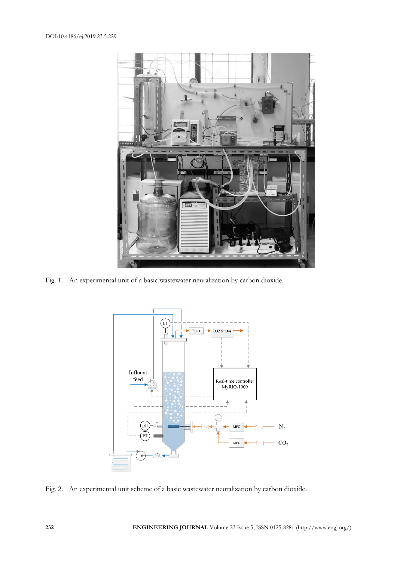

Fig. 1. An experimental unit of a basic wastewater neuralization by carbon dioxide.



Fig. 2. An experimental unit scheme of a basic wastewater neuralization by carbon dioxide.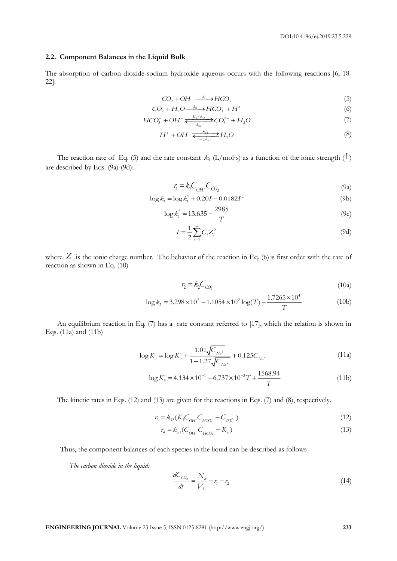## **2.2. Component Balances in the Liquid Bulk**

The absorption of carbon dioxide-sodium hydroxide aqueous occurs with the following reactions [6, 18- 22]:

$$
CO_2 + OH^- \xrightarrow{\quad k_1} HCO_3^-
$$
 (5)

$$
CO_2 + H_2O \xrightarrow{\phantom{a}k_2} HCO_3^- + H^+ \tag{6}
$$

$$
HCO_3^- + OH^- \xleftarrow[k_{32}]{K_3/k_{32}} CO_3^{2-} + H_2O \tag{7}
$$

$$
H^+ + OH^- \xrightarrow{\mathcal{E}_{y1} \atop K_y \mathcal{K}_{y1}} H_2O \tag{8}
$$

The reaction rate of Eq. (5) and the rate constant  $k_1$  (L/mol⋅s) as a function of the ionic strength (<sup>I</sup>) are described by Eqs. (9a)-(9d):

$$
r_1 = k_1 C_{OH^-} C_{CO_2} \tag{9a}
$$

$$
\log k_1 = \log k_1^{\circ} + 0.20I - 0.0182I^2 \tag{9b}
$$

$$
\log \dot{k_1}^{\circ} = 13.635 - \frac{2985}{T}
$$
 (9c)

$$
I = \frac{1}{2} \sum_{i=1}^{n} C_i Z_i^2
$$
 (9d)

where  $Z$  is the ionic charge number. The behavior of the reaction in Eq. (6) is first order with the rate of reaction as shown in Eq. (10)

$$
r_2 = k_2 C_{CO_2} \tag{10a}
$$

$$
r_2 = k_2 C_{CO_2}
$$
\n
$$
\log k_2 = 3.298 \times 10^2 - 1.1054 \times 10^2 \log(T) - \frac{1.7265 \times 10^4}{T}
$$
\n(10b)

An equilibrium reaction in Eq. (7) has a rate constant referred to [17], which the relation is shown in Eqs. (11a) and (11b)

$$
\log K_3 = \log K_3^{\circ} + \frac{1.01\sqrt{C_{N_a^+}}}{1 + 1.27\sqrt{C_{N_a^+}}} + 0.125C_{N_a^+}
$$
\n(11a)

$$
\log K_3^\circ = 4.134 \times 10^{-1} - 6.737 \times 10^{-3} T + \frac{1568.94}{T}
$$
 (11b)

The kinetic rates in Eqs. (12) and (13) are given for the reactions in Eqs. (7) and (8), respectively.

$$
r_3 = k_{32}(K_3 C_{OH} C_{HCO_3^-} - C_{CO_3^{2-}})
$$
\n(12)

$$
r_4 = k_{w1} (C_{OH^-} C_{HCO_3^-} - K_w)
$$
\n(13)

Thus, the component balances of each species in the liquid can be described as follows

*The carbon dioxide in the liquid:* 

$$
\frac{dC_{CO_2}}{dt} = \frac{N_a}{V_L} - r_1 - r_2
$$
\n(14)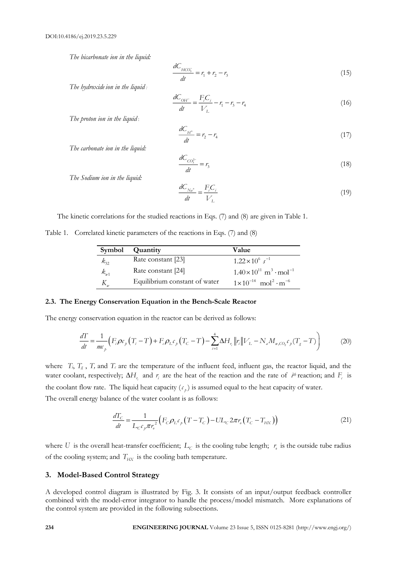*The bicarbonate ion in the liquid:*

$$
\frac{dC_{HCO_3^-}}{dt} = r_1 + r_2 - r_3 \tag{15}
$$

*The hydroxide ion in the liquid :*

$$
\frac{dC_{OH^-}}{dt} = \frac{F_i C_i}{V_L} - r_1 - r_3 - r_4
$$
\n(16)

*The proton ion in the liquid* :

$$
\frac{dC_{H^+}}{dt} = r_2 - r_4 \tag{17}
$$

*The carbonate ion in the liquid:*

$$
\frac{dC_{CO_3^{2-}}}{dt} = r_3 \tag{18}
$$

*The Sodium ion in the liquid:*

$$
\frac{dC_{N_a^+}}{dt} = \frac{F_i C_i}{V_L} \tag{19}
$$

The kinetic correlations for the studied reactions in Eqs. (7) and (8) are given in Table 1.

Table 1. Correlated kinetic parameters of the reactions in Eqs. (7) and (8)

| Symbol   | Quantity                      | Value                                                  |
|----------|-------------------------------|--------------------------------------------------------|
| $k_{32}$ | Rate constant [23]            | $1.22 \times 10^6$ s <sup>-1</sup>                     |
| $k_{w1}$ | Rate constant [24]            | $1.40\times10^{11}$ m <sup>3</sup> · mol <sup>-1</sup> |
|          | Equilibrium constant of water | $1 \times 10^{-14}$ mol <sup>2</sup> · m <sup>-6</sup> |

## **2.3. The Energy Conservation Equation in the Bench-Scale Reactor**

The energy conservation equation in the reactor can be derived as follows:

$$
\frac{d\Gamma}{dt} = \frac{1}{mc_p} \Big( F_i \rho c_p \Big( T_i - T \Big) + F_c \rho_L c_p \Big( T_C - T \Big) - \sum_{i=1}^4 \Delta H_{r_i} \left\| r_i \right\| V_L - N_a M_{w, CO_2} c_p \Big( T_g - T \Big) \Big) \tag{20}
$$

where  $T_i$ ,  $T_g$ ,  $T_i$ , and  $T_c$  are the temperature of the influent feed, influent gas, the reactor liquid, and the water coolant, respectively;  $\Delta H_{r_i}$  and  $r_i$  are the heat of the reaction and the rate of  $i^{th}$  reaction; and  $F_i$  is the coolant flow rate. The liquid heat capacity  $(c_p)$  is assumed equal to the heat capacity of water. The overall energy balance of the water coolant is as follows:

$$
\frac{dI_C}{dt} = \frac{1}{L_C c_p \pi r_o^2} \Big( F_C \rho_L c_p \left( T - T_C \right) - U L_C 2 \pi r_o \left( T_C - T_{HX} \right) \Big) \tag{21}
$$

where U is the overall heat-transfer coefficient;  $L_c$  is the cooling tube length;  $r_s$  is the outside tube radius of the cooling system; and  $T_{HX}$  is the cooling bath temperature.

# **3. Model-Based Control Strategy**

A developed control diagram is illustrated by Fig. 3. It consists of an input/output feedback controller combined with the model-error integrator to handle the process/model mismatch. More explanations of the control system are provided in the following subsections.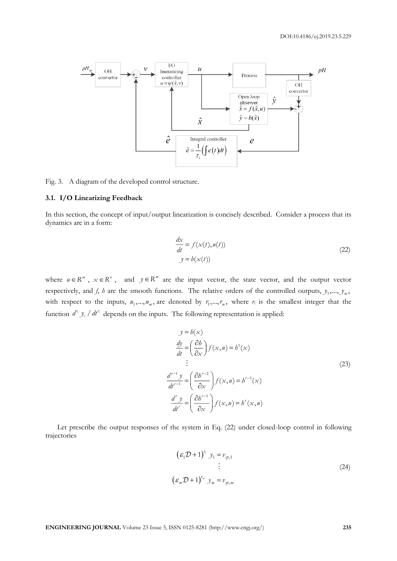

Fig. 3. A diagram of the developed control structure.

## **3.1. I/O Linearizing Feedback**

In this section, the concept of input/output linearization is concisely described. Consider a process that its dynamics are in a form:

$$
\frac{dx}{dt} = f(x(t), u(t))
$$
  

$$
y = h(x(t))
$$
\n(22)

where  $u \in \mathbb{R}^m$ ,  $x \in \mathbb{R}^n$ , and  $y \in \mathbb{R}^m$  are the input vector, the state vector, and the output vector respectively, and *f*, *h* are the smooth functions. The relative orders of the controlled outputs,  $y_1, ..., y_m$ , with respect to the inputs,  $u_1, ..., u_m$ , are denoted by  $r_1, ..., r_m$ , where  $r_i$  is the smallest integer that the function  $d^{r_i} y_i / dt^{r_i}$  depends on the inputs. The following representation is applied:

$$
y = h(x)
$$
  
\n
$$
\frac{dy}{dt} = \left(\frac{\partial b}{\partial x}\right) f(x, u) = b^{1}(x)
$$
  
\n
$$
\vdots
$$
  
\n
$$
\frac{d^{r-1}y}{dt^{r-1}} = \left(\frac{\partial b^{r-2}}{\partial x}\right) f(x, u) = b^{r-1}(x)
$$
  
\n
$$
\frac{d^{r}y}{dt^{r}} = \left(\frac{\partial b^{r-1}}{\partial x}\right) f(x, u) = b^{r}(x, u)
$$
\n(23)

Let prescribe the output responses of the system in Eq. (22) under closed-loop control in following trajectories

$$
(\varepsilon_1 \mathcal{D} + 1)^{r_1} y_1 = v_{\varphi,1}
$$
  

$$
\vdots
$$
  

$$
(\varepsilon_m \mathcal{D} + 1)^{r_m} y_m = v_{\varphi,m}
$$
 (24)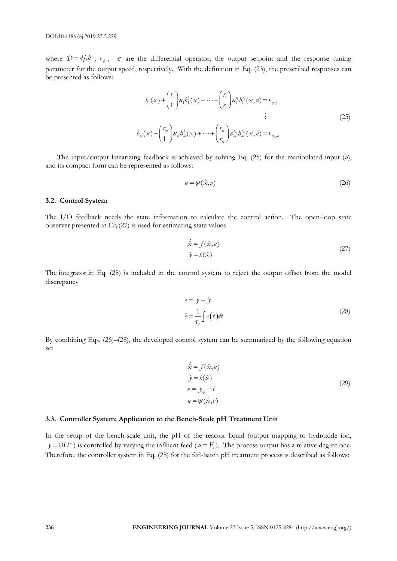where  $\mathcal{D} = d/dt$ ,  $v_{\varphi}$ ,  $\varepsilon$  are the differential operator, the output setpoint and the response tuning parameter for the output speed, respectively. With the definition in Eq. (23), the prescribed responses can be presented as follows:

$$
b_1(x) + {r_1 \choose 1} \varepsilon_1 b_1^1(x) + \dots + {r_1 \choose r_1} \varepsilon_1^{r_1} b_1^{r_1}(x, u) = v_{\varphi, 1}
$$
  
\n
$$
\vdots
$$
  
\n
$$
b_m(x) + {r_m \choose 1} \varepsilon_m b_m^1(x) + \dots + {r_m \choose r_m} \varepsilon_m^{r_m} b_m^{r_m}(x, u) = v_{\varphi, m}
$$
\n(25)

The input/output linearizing feedback is achieved by solving Eq. (25) for the manipulated input (*u*), and its compact form can be represented as follows:

$$
u = \psi(\hat{x}, v) \tag{26}
$$

#### **3.2. Control System**

The I/O feedback needs the state information to calculate the control action. The open-loop state observer presented in Eq.(27) is used for estimating state values

$$
\dot{\hat{x}} = f(\hat{x}, u) \n\hat{y} = b(\hat{x})
$$
\n(27)

The integrator in Eq. (28) is included in the control system to reject the output offset from the model discrepancy.

$$
e = y - \hat{y}
$$
  
\n
$$
\hat{e} = \frac{1}{\tau_i} \int e(t) dt
$$
\n(28)

By combining Eqs. (26)–(28), the developed control system can be summarized by the following equation set

$$
\begin{aligned}\n\dot{\hat{x}} &= f(\hat{x}, u) \\
\hat{y} &= h(\hat{x}) \\
v &= y_{\varphi} - \hat{e} \\
u &= \psi(\hat{x}, v)\n\end{aligned} \tag{29}
$$

#### **3.3. Controller System: Application to the Bench-Scale pH Treatment Unit**

In the setup of the bench-scale unit, the pH of the reactor liquid (output mapping to hydroxide ion,  $y = OH^-$ ) is controlled by varying the influent feed ( $u = F_i$ ). The process output has a relative degree one. Therefore, the controller system in Eq. (28) for the fed-batch pH treatment process is described as follows: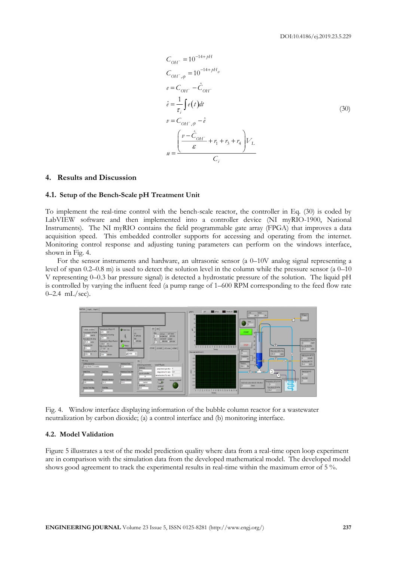$$
C_{OH^-} = 10^{-14 + pH}
$$
  
\n
$$
C_{OH^-,\mathfrak{p}} = 10^{-14 + pH_{\mathfrak{p}}}
$$
  
\n
$$
e = C_{OH^-} - \hat{C}_{OH^-}
$$
  
\n
$$
\hat{e} = \frac{1}{\tau_i} \int e(t) dt
$$
  
\n
$$
v = C_{OH^-,\mathfrak{p}} - \hat{e}
$$
  
\n
$$
u = \frac{\left(\frac{v - \hat{C}_{OH^-}}{\varepsilon} + r_1 + r_3 + r_4\right) V_L}{C_i}
$$
  
\n(30)

#### **4. Results and Discussion**

#### **4.1. Setup of the Bench-Scale pH Treatment Unit**

To implement the real-time control with the bench-scale reactor, the controller in Eq. (30) is coded by LabVIEW software and then implemented into a controller device (NI myRIO-1900, National Instruments). The NI myRIO contains the field programmable gate array (FPGA) that improves a data acquisition speed. This embedded controller supports for accessing and operating from the internet. Monitoring control response and adjusting tuning parameters can perform on the windows interface, shown in Fig. 4.

For the sensor instruments and hardware, an ultrasonic sensor (a 0–10V analog signal representing a level of span 0.2–0.8 m) is used to detect the solution level in the column while the pressure sensor (a 0–10 V representing 0–0.3 bar pressure signal) is detected a hydrostatic pressure of the solution. The liquid pH is controlled by varying the influent feed (a pump range of 1–600 RPM corresponding to the feed flow rate 0–2.4 mL/sec).



Fig. 4. Window interface displaying information of the bubble column reactor for a wastewater neutralization by carbon dioxide; (a) a control interface and (b) monitoring interface.

# **4.2. Model Validation**

Figure 5 illustrates a test of the model prediction quality where data from a real-time open loop experiment are in comparison with the simulation data from the developed mathematical model. The developed model shows good agreement to track the experimental results in real-time within the maximum error of 5 %.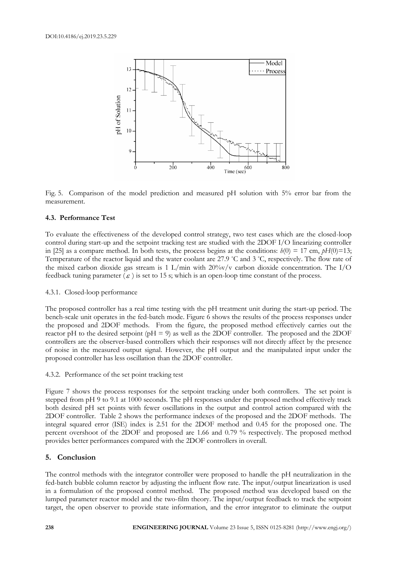

Fig. 5. Comparison of the model prediction and measured pH solution with 5% error bar from the measurement.

## **4.3. Performance Test**

To evaluate the effectiveness of the developed control strategy, two test cases which are the closed-loop control during start-up and the setpoint tracking test are studied with the 2DOF I/O linearizing controller in [25] as a compare method. In both tests, the process begins at the conditions:  $h(0) = 17$  cm,  $pH(0)=13$ ; Temperature of the reactor liquid and the water coolant are 27.9 °C and 3 °C, respectively. The flow rate of the mixed carbon dioxide gas stream is 1 L/min with  $20\%$  v/v carbon dioxide concentration. The I/O feedback tuning parameter  $(\varepsilon)$  is set to 15 s; which is an open-loop time constant of the process.

## 4.3.1. Closed-loop performance

The proposed controller has a real time testing with the pH treatment unit during the start-up period. The bench-scale unit operates in the fed-batch mode. Figure 6 shows the results of the process responses under the proposed and 2DOF methods. From the figure, the proposed method effectively carries out the reactor pH to the desired setpoint (pH = 9) as well as the 2DOF controller. The proposed and the 2DOF controllers are the observer-based controllers which their responses will not directly affect by the presence of noise in the measured output signal. However, the pH output and the manipulated input under the proposed controller has less oscillation than the 2DOF controller.

# 4.3.2. Performance of the set point tracking test

Figure 7 shows the process responses for the setpoint tracking under both controllers. The set point is stepped from pH 9 to 9.1 at 1000 seconds. The pH responses under the proposed method effectively track both desired pH set points with fewer oscillations in the output and control action compared with the 2DOF controller. Table 2 shows the performance indexes of the proposed and the 2DOF methods. The integral squared error (ISE) index is 2.51 for the 2DOF method and 0.45 for the proposed one. The percent overshoot of the 2DOF and proposed are 1.66 and 0.79 % respectively. The proposed method provides better performances compared with the 2DOF controllers in overall.

## **5. Conclusion**

The control methods with the integrator controller were proposed to handle the pH neutralization in the fed-batch bubble column reactor by adjusting the influent flow rate. The input/output linearization is used in a formulation of the proposed control method. The proposed method was developed based on the lumped parameter reactor model and the two-film theory. The input/output feedback to track the setpoint target, the open observer to provide state information, and the error integrator to eliminate the output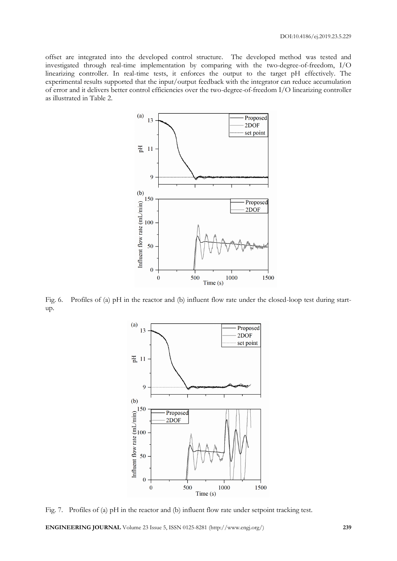offset are integrated into the developed control structure. The developed method was tested and investigated through real-time implementation by comparing with the two-degree-of-freedom, I/O linearizing controller. In real-time tests, it enforces the output to the target pH effectively. The experimental results supported that the input/output feedback with the integrator can reduce accumulation of error and it delivers better control efficiencies over the two-degree-of-freedom I/O linearizing controller as illustrated in Table 2.



Fig. 6. Profiles of (a) pH in the reactor and (b) influent flow rate under the closed-loop test during startup.



Fig. 7. Profiles of (a) pH in the reactor and (b) influent flow rate under setpoint tracking test.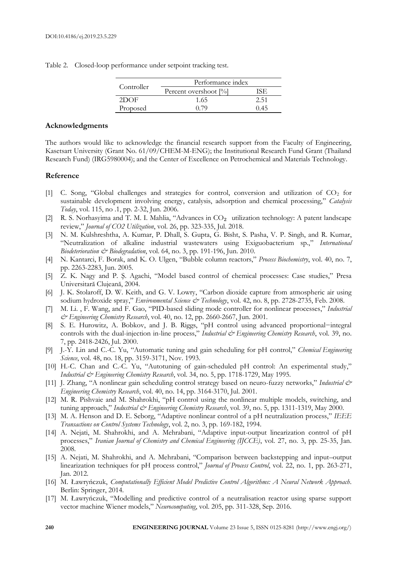Table 2. Closed-loop performance under setpoint tracking test.

| Controller | Performance index     |      |  |
|------------|-----------------------|------|--|
|            | Percent overshoot [%] |      |  |
| 2DOF       | 1.65                  | 2.51 |  |
| Proposed   | 0.79                  | 0.45 |  |

# **Acknowledgments**

The authors would like to acknowledge the financial research support from the Faculty of Engineering, Kasetsart University (Grant No. 61/09/CHEM-M-ENG); the Institutional Research Fund Grant (Thailand Research Fund) (IRG5980004); and the Center of Excellence on Petrochemical and Materials Technology.

# **Reference**

- [1] C. Song, "Global challenges and strategies for control, conversion and utilization of CO<sub>2</sub> for sustainable development involving energy, catalysis, adsorption and chemical processing," *Catalysis Today*, vol. 115, no .1, pp. 2-32, Jun. 2006.
- [2] R. S. Norhasyima and T. M. I. Mahlia, "Advances in CO<sub>2</sub> utilization technology: A patent landscape review," *Journal of CO2 Utilization*, vol. 26, pp. 323-335, Jul. 2018.
- [3] N. M. Kulshreshtha, A. Kumar, P. Dhall, S. Gupta, G. Bisht, S. Pasha, V. P. Singh, and R. Kumar, "Neutralization of alkaline industrial wastewaters using Exiguobacterium sp.," *International Biodeterioration & Biodegradation*, vol. 64, no. 3, pp. 191-196, Jun. 2010.
- [4] N. Kantarci, F. Borak, and K. O. Ulgen, "Bubble column reactors," *Process Biochemistry*, vol. 40, no. 7, pp. 2263-2283, Jun. 2005.
- [5] Z. K. Nagy and P. Ş. Agachi, "Model based control of chemical processes: Case studies," Presa Universitară Clujeană, 2004.
- [6] J. K. Stolaroff, D. W. Keith, and G. V. Lowry, "Carbon dioxide capture from atmospheric air using sodium hydroxide spray," *Environmental Science & Technology*, vol. 42, no. 8, pp. 2728-2735, Feb. 2008.
- [7] M. Li. , F. Wang, and F. Gao, "PID-based sliding mode controller for nonlinear processes," *Industrial & Engineering Chemistry Research*, vol. 40, no. 12, pp. 2660-2667, Jun. 2001.
- [8] S. E. Hurowitz, A. Bobkov, and J. B. Riggs, "pH control using advanced proportional−integral controls with the dual-injection in-line process," *Industrial & Engineering Chemistry Research*, vol. 39, no. 7, pp. 2418-2426, Jul. 2000.
- [9] J.-Y. Lin and C.-C. Yu, "Automatic tuning and gain scheduling for pH control," *Chemical Engineering Science*, vol. 48, no. 18, pp. 3159-3171, Nov. 1993.
- [10] H.-C. Chan and C.-C. Yu, "Autotuning of gain-scheduled pH control: An experimental study," *Industrial & Engineering Chemistry Research*, vol. 34, no. 5, pp. 1718-1729, May 1995.
- [11] J. Zhang, "A nonlinear gain scheduling control strategy based on neuro-fuzzy networks," *Industrial & Engineering Chemistry Research*, vol. 40, no. 14, pp. 3164-3170, Jul. 2001.
- [12] M. R. Pishvaie and M. Shahrokhi, "pH control using the nonlinear multiple models, switching, and tuning approach," Industrial & Engineering Chemistry Research, vol. 39, no. 5, pp. 1311-1319, May 2000.
- [13] M. A. Henson and D. E. Seborg, "Adaptive nonlinear control of a pH neutralization process," *IEEE Transactions on Control Systems Technology*, vol. 2, no. 3, pp. 169-182, 1994.
- [14] A. Nejati, M. Shahrokhi, and A. Mehrabani, "Adaptive input-output linearization control of pH processes," *Iranian Journal of Chemistry and Chemical Engineering (IJCCE)*, vol. 27, no. 3, pp. 25-35, Jan. 2008.
- [15] A. Nejati, M. Shahrokhi, and A. Mehrabani, "Comparison between backstepping and input–output linearization techniques for pH process control," *Journal of Process Control*, vol. 22, no. 1, pp. 263-271, Jan. 2012.
- [16] M. Ławryńczuk, *Computationally Efficient Model Predictive Control Algorithms: A Neural Network Approach*. Berlin: Springer, 2014.
- [17] M. Ławryńczuk, "Modelling and predictive control of a neutralisation reactor using sparse support vector machine Wiener models," *Neurocomputing*, vol. 205, pp. 311-328, Sep. 2016.